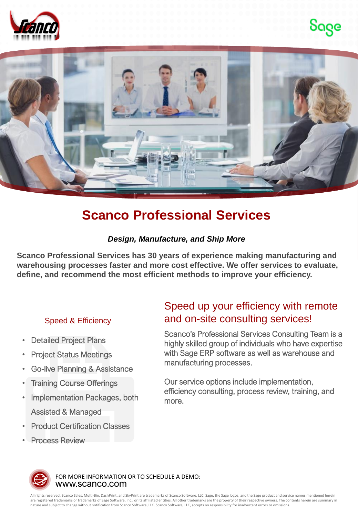





# **Scanco Professional Services**

### *Design, Manufacture, and Ship More*

**Scanco Professional Services has 30 years of experience making manufacturing and warehousing processes faster and more cost effective. We offer services to evaluate, define, and recommend the most efficient methods to improve your efficiency.**

### Speed & Efficiency

- **Detailed Project Plans**
- Project Status Meetings
- Go-live Planning & Assistance
- **Training Course Offerings**
- Implementation Packages, both Assisted & Managed
- **Product Certification Classes**
- **Process Review**

## Speed up your efficiency with remote and on-site consulting services!

Scanco's Professional Services Consulting Team is a highly skilled group of individuals who have expertise with Sage ERP software as well as warehouse and manufacturing processes.

Our service options include implementation, efficiency consulting, process review, training, and more.

![](_page_0_Picture_17.jpeg)

www.scanco.com FOR MORE INFORMATION OR TO SCHEDULE A DEMO:

All rights reserved. Scanco Sales, Multi-Bin, DashPrint, and SkyPrint are trademarks of Scanco Software, LLC. Sage, the Sage logos, and the Sage product and service names mentioned herein are registered trademarks or trademarks of Sage Software, Inc., or its affiliated entities. All other trademarks are the property of their respective owners. The contents herein are summary in nature and subject to change without notification from Scanco Software, LLC. Scanco Software, LLC, accepts no responsibility for inadvertent errors or omissions.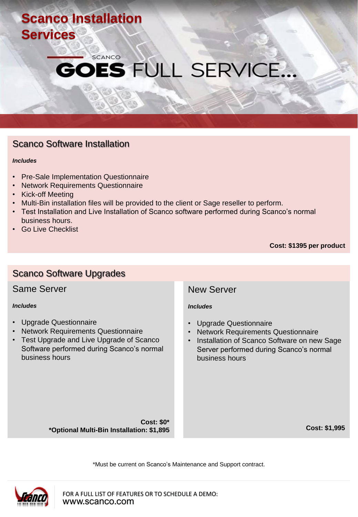# **Scanco Installation Services**

## **SCANCO ES FULL SERVICE...**

### Scanco Software Installation

#### *Includes*

- Pre-Sale Implementation Questionnaire
- Network Requirements Questionnaire
- Kick-off Meeting
- Multi-Bin installation files will be provided to the client or Sage reseller to perform.
- Test Installation and Live Installation of Scanco software performed during Scanco's normal business hours.
- **Go Live Checklist**

**Cost: \$1395 per product**

### Same Server *Includes* • Upgrade Questionnaire • Network Requirements Questionnaire • Test Upgrade and Live Upgrade of Scanco Software performed during Scanco's normal business hours **Cost: \$0\* \*Optional Multi-Bin Installation: \$1,895** New Server *Includes* • Upgrade Questionnaire • Network Requirements Questionnaire • Installation of Scanco Software on new Sage Server performed during Scanco's normal business hours **Cost: \$1,995** Scanco Software Upgrades

\*Must be current on Scanco's Maintenance and Support contract.

![](_page_1_Picture_13.jpeg)

www.scanco.com FOR A FULL LIST OF FEATURES OR TO SCHEDULE A DEMO: